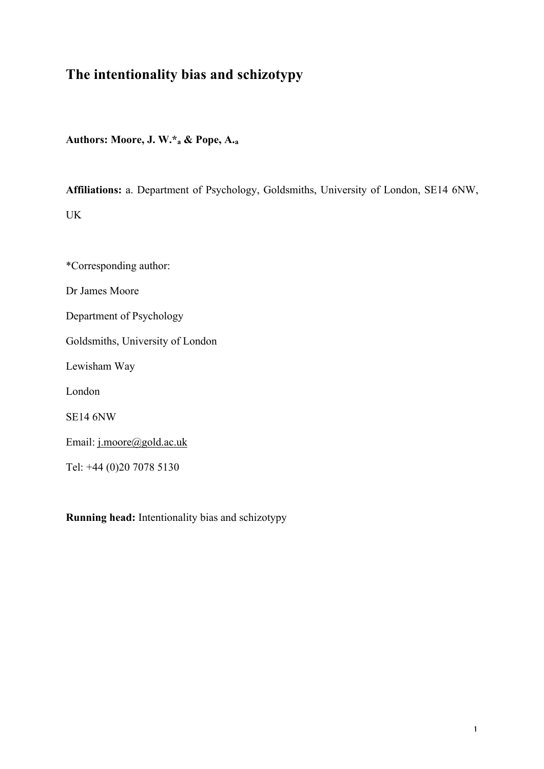# **The intentionality bias and schizotypy**

**Authors: Moore, J. W.\*a & Pope, A.a**

**Affiliations:** a. Department of Psychology, Goldsmiths, University of London, SE14 6NW, UK

\*Corresponding author: Dr James Moore Department of Psychology Goldsmiths, University of London Lewisham Way London SE14 6NW Email: j.moore@gold.ac.uk Tel: +44 (0)20 7078 5130

**Running head:** Intentionality bias and schizotypy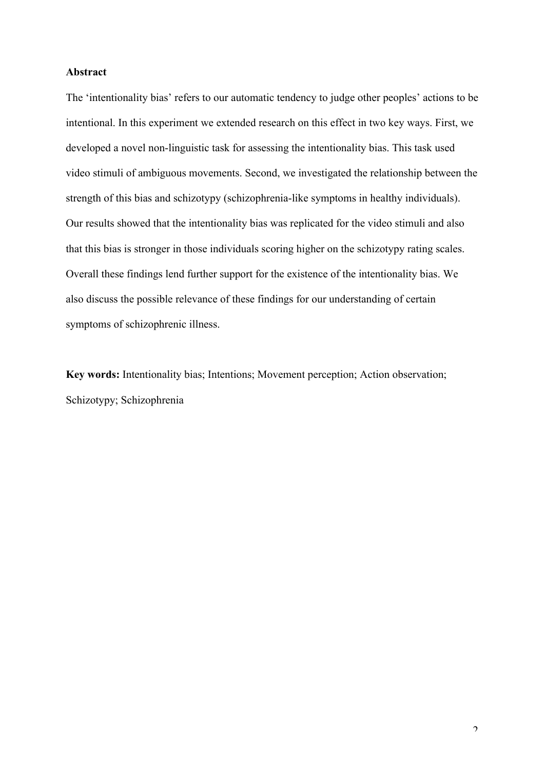### **Abstract**

The 'intentionality bias' refers to our automatic tendency to judge other peoples' actions to be intentional. In this experiment we extended research on this effect in two key ways. First, we developed a novel non-linguistic task for assessing the intentionality bias. This task used video stimuli of ambiguous movements. Second, we investigated the relationship between the strength of this bias and schizotypy (schizophrenia-like symptoms in healthy individuals). Our results showed that the intentionality bias was replicated for the video stimuli and also that this bias is stronger in those individuals scoring higher on the schizotypy rating scales. Overall these findings lend further support for the existence of the intentionality bias. We also discuss the possible relevance of these findings for our understanding of certain symptoms of schizophrenic illness.

**Key words:** Intentionality bias; Intentions; Movement perception; Action observation; Schizotypy; Schizophrenia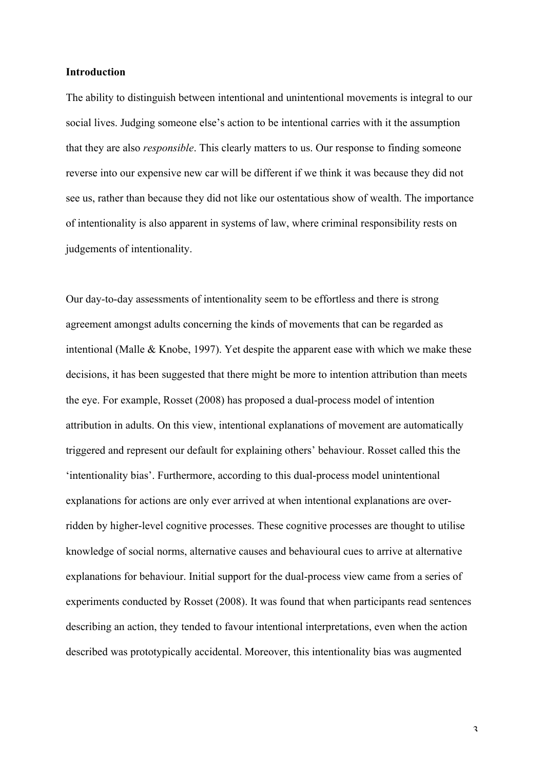#### **Introduction**

The ability to distinguish between intentional and unintentional movements is integral to our social lives. Judging someone else's action to be intentional carries with it the assumption that they are also *responsible*. This clearly matters to us. Our response to finding someone reverse into our expensive new car will be different if we think it was because they did not see us, rather than because they did not like our ostentatious show of wealth. The importance of intentionality is also apparent in systems of law, where criminal responsibility rests on judgements of intentionality.

Our day-to-day assessments of intentionality seem to be effortless and there is strong agreement amongst adults concerning the kinds of movements that can be regarded as intentional (Malle & Knobe, 1997). Yet despite the apparent ease with which we make these decisions, it has been suggested that there might be more to intention attribution than meets the eye. For example, Rosset (2008) has proposed a dual-process model of intention attribution in adults. On this view, intentional explanations of movement are automatically triggered and represent our default for explaining others' behaviour. Rosset called this the 'intentionality bias'. Furthermore, according to this dual-process model unintentional explanations for actions are only ever arrived at when intentional explanations are overridden by higher-level cognitive processes. These cognitive processes are thought to utilise knowledge of social norms, alternative causes and behavioural cues to arrive at alternative explanations for behaviour. Initial support for the dual-process view came from a series of experiments conducted by Rosset (2008). It was found that when participants read sentences describing an action, they tended to favour intentional interpretations, even when the action described was prototypically accidental. Moreover, this intentionality bias was augmented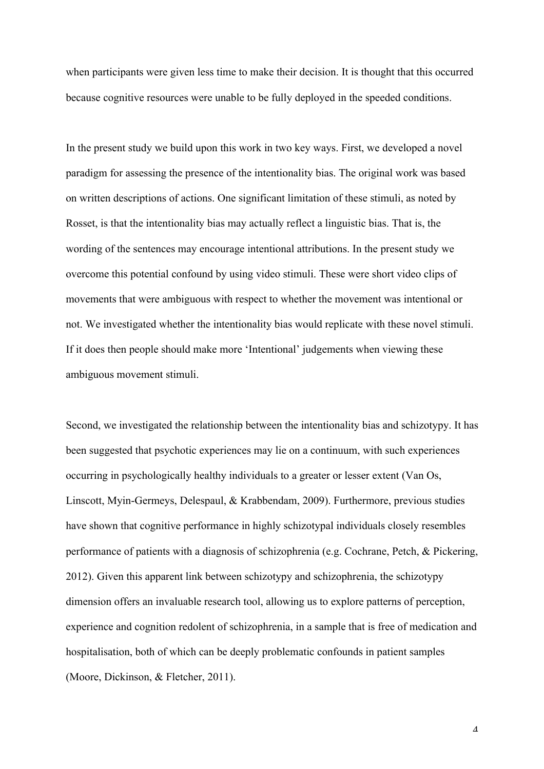when participants were given less time to make their decision. It is thought that this occurred because cognitive resources were unable to be fully deployed in the speeded conditions.

In the present study we build upon this work in two key ways. First, we developed a novel paradigm for assessing the presence of the intentionality bias. The original work was based on written descriptions of actions. One significant limitation of these stimuli, as noted by Rosset, is that the intentionality bias may actually reflect a linguistic bias. That is, the wording of the sentences may encourage intentional attributions. In the present study we overcome this potential confound by using video stimuli. These were short video clips of movements that were ambiguous with respect to whether the movement was intentional or not. We investigated whether the intentionality bias would replicate with these novel stimuli. If it does then people should make more 'Intentional' judgements when viewing these ambiguous movement stimuli.

Second, we investigated the relationship between the intentionality bias and schizotypy. It has been suggested that psychotic experiences may lie on a continuum, with such experiences occurring in psychologically healthy individuals to a greater or lesser extent (Van Os, Linscott, Myin-Germeys, Delespaul, & Krabbendam, 2009). Furthermore, previous studies have shown that cognitive performance in highly schizotypal individuals closely resembles performance of patients with a diagnosis of schizophrenia (e.g. Cochrane, Petch, & Pickering, 2012). Given this apparent link between schizotypy and schizophrenia, the schizotypy dimension offers an invaluable research tool, allowing us to explore patterns of perception, experience and cognition redolent of schizophrenia, in a sample that is free of medication and hospitalisation, both of which can be deeply problematic confounds in patient samples (Moore, Dickinson, & Fletcher, 2011).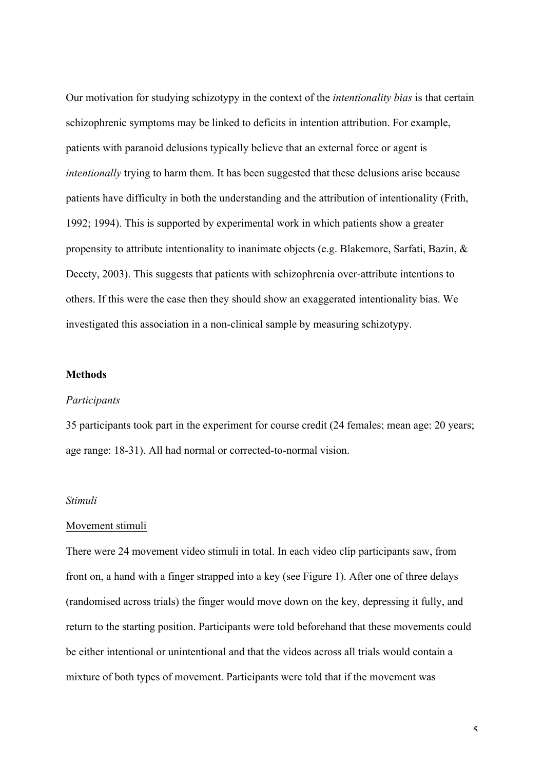Our motivation for studying schizotypy in the context of the *intentionality bias* is that certain schizophrenic symptoms may be linked to deficits in intention attribution. For example, patients with paranoid delusions typically believe that an external force or agent is *intentionally* trying to harm them. It has been suggested that these delusions arise because patients have difficulty in both the understanding and the attribution of intentionality (Frith, 1992; 1994). This is supported by experimental work in which patients show a greater propensity to attribute intentionality to inanimate objects (e.g. Blakemore, Sarfati, Bazin, & Decety, 2003). This suggests that patients with schizophrenia over-attribute intentions to others. If this were the case then they should show an exaggerated intentionality bias. We investigated this association in a non-clinical sample by measuring schizotypy.

## **Methods**

#### *Participants*

35 participants took part in the experiment for course credit (24 females; mean age: 20 years; age range: 18-31). All had normal or corrected-to-normal vision.

#### *Stimuli*

#### Movement stimuli

There were 24 movement video stimuli in total. In each video clip participants saw, from front on, a hand with a finger strapped into a key (see Figure 1). After one of three delays (randomised across trials) the finger would move down on the key, depressing it fully, and return to the starting position. Participants were told beforehand that these movements could be either intentional or unintentional and that the videos across all trials would contain a mixture of both types of movement. Participants were told that if the movement was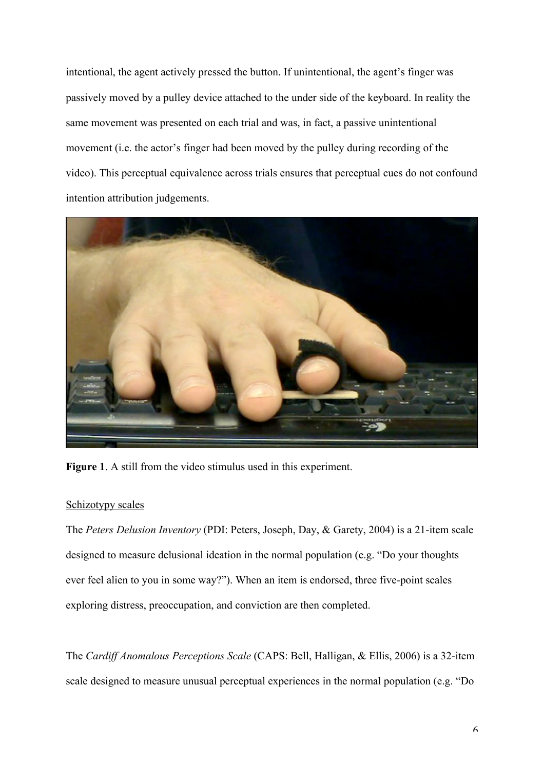intentional, the agent actively pressed the button. If unintentional, the agent's finger was passively moved by a pulley device attached to the under side of the keyboard. In reality the same movement was presented on each trial and was, in fact, a passive unintentional movement (i.e. the actor's finger had been moved by the pulley during recording of the video). This perceptual equivalence across trials ensures that perceptual cues do not confound intention attribution judgements.



**Figure 1**. A still from the video stimulus used in this experiment.

## Schizotypy scales

The *Peters Delusion Inventory* (PDI: Peters, Joseph, Day, & Garety, 2004) is a 21-item scale designed to measure delusional ideation in the normal population (e.g. "Do your thoughts ever feel alien to you in some way?"). When an item is endorsed, three five-point scales exploring distress, preoccupation, and conviction are then completed.

The *Cardiff Anomalous Perceptions Scale* (CAPS: Bell, Halligan, & Ellis, 2006) is a 32-item scale designed to measure unusual perceptual experiences in the normal population (e.g. "Do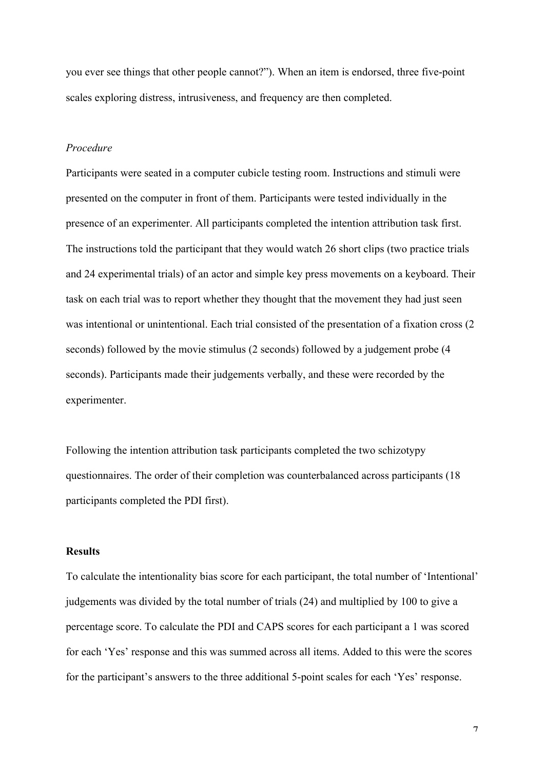you ever see things that other people cannot?"). When an item is endorsed, three five-point scales exploring distress, intrusiveness, and frequency are then completed.

## *Procedure*

Participants were seated in a computer cubicle testing room. Instructions and stimuli were presented on the computer in front of them. Participants were tested individually in the presence of an experimenter. All participants completed the intention attribution task first. The instructions told the participant that they would watch 26 short clips (two practice trials and 24 experimental trials) of an actor and simple key press movements on a keyboard. Their task on each trial was to report whether they thought that the movement they had just seen was intentional or unintentional. Each trial consisted of the presentation of a fixation cross (2 seconds) followed by the movie stimulus (2 seconds) followed by a judgement probe (4 seconds). Participants made their judgements verbally, and these were recorded by the experimenter.

Following the intention attribution task participants completed the two schizotypy questionnaires. The order of their completion was counterbalanced across participants (18 participants completed the PDI first).

#### **Results**

To calculate the intentionality bias score for each participant, the total number of 'Intentional' judgements was divided by the total number of trials (24) and multiplied by 100 to give a percentage score. To calculate the PDI and CAPS scores for each participant a 1 was scored for each 'Yes' response and this was summed across all items. Added to this were the scores for the participant's answers to the three additional 5-point scales for each 'Yes' response.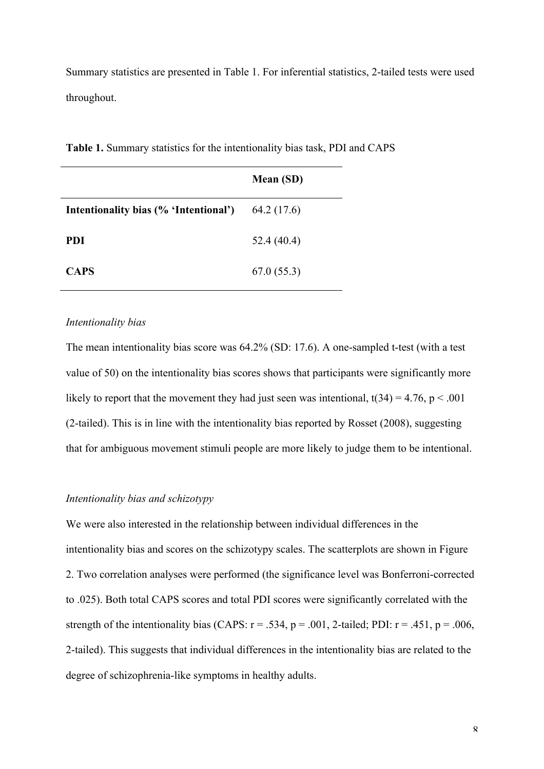Summary statistics are presented in Table 1. For inferential statistics, 2-tailed tests were used throughout.

|                                       | <b>Mean (SD)</b> |
|---------------------------------------|------------------|
| Intentionality bias (% 'Intentional') | 64.2 (17.6)      |
| <b>PDI</b>                            | 52.4(40.4)       |
| <b>CAPS</b>                           | 67.0(55.3)       |

**Table 1.** Summary statistics for the intentionality bias task, PDI and CAPS

## *Intentionality bias*

The mean intentionality bias score was 64.2% (SD: 17.6). A one-sampled t-test (with a test value of 50) on the intentionality bias scores shows that participants were significantly more likely to report that the movement they had just seen was intentional,  $t(34) = 4.76$ ,  $p < .001$ (2-tailed). This is in line with the intentionality bias reported by Rosset (2008), suggesting that for ambiguous movement stimuli people are more likely to judge them to be intentional.

## *Intentionality bias and schizotypy*

We were also interested in the relationship between individual differences in the intentionality bias and scores on the schizotypy scales. The scatterplots are shown in Figure 2. Two correlation analyses were performed (the significance level was Bonferroni-corrected to .025). Both total CAPS scores and total PDI scores were significantly correlated with the strength of the intentionality bias (CAPS:  $r = .534$ ,  $p = .001$ , 2-tailed; PDI:  $r = .451$ ,  $p = .006$ , 2-tailed). This suggests that individual differences in the intentionality bias are related to the degree of schizophrenia-like symptoms in healthy adults.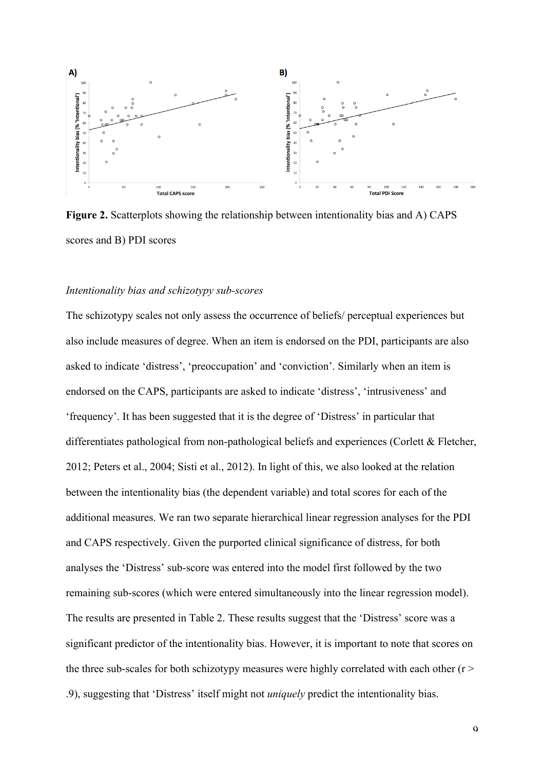

**Figure 2.** Scatterplots showing the relationship between intentionality bias and A) CAPS scores and B) PDI scores

## *Intentionality bias and schizotypy sub-scores*

The schizotypy scales not only assess the occurrence of beliefs/ perceptual experiences but also include measures of degree. When an item is endorsed on the PDI, participants are also asked to indicate 'distress', 'preoccupation' and 'conviction'. Similarly when an item is endorsed on the CAPS, participants are asked to indicate 'distress', 'intrusiveness' and 'frequency'. It has been suggested that it is the degree of 'Distress' in particular that differentiates pathological from non-pathological beliefs and experiences (Corlett & Fletcher, 2012; Peters et al., 2004; Sisti et al., 2012). In light of this, we also looked at the relation between the intentionality bias (the dependent variable) and total scores for each of the additional measures. We ran two separate hierarchical linear regression analyses for the PDI and CAPS respectively. Given the purported clinical significance of distress, for both analyses the 'Distress' sub-score was entered into the model first followed by the two remaining sub-scores (which were entered simultaneously into the linear regression model). The results are presented in Table 2. These results suggest that the 'Distress' score was a significant predictor of the intentionality bias. However, it is important to note that scores on the three sub-scales for both schizotypy measures were highly correlated with each other ( $r >$ .9), suggesting that 'Distress' itself might not *uniquely* predict the intentionality bias.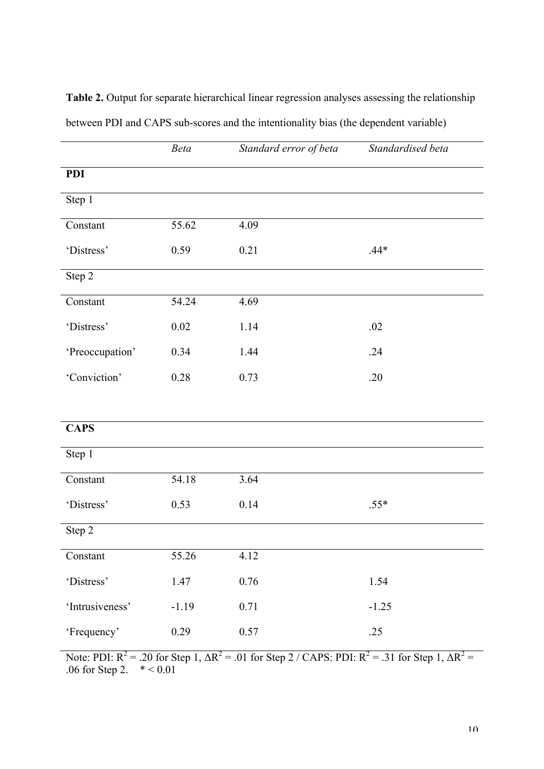|                     | Beta     | Standard error of beta | Standardised beta |
|---------------------|----------|------------------------|-------------------|
| <b>PDI</b>          |          |                        |                   |
| Step 1              |          |                        |                   |
| Constant            | 55.62    | 4.09                   |                   |
| 'Distress'          | 0.59     | 0.21                   | $.44*$            |
| Step $\overline{2}$ |          |                        |                   |
| Constant            | 54.24    | 4.69                   |                   |
| 'Distress'          | $0.02\,$ | 1.14                   | .02               |
| 'Preoccupation'     | 0.34     | 1.44                   | .24               |
| 'Conviction'        | 0.28     | 0.73                   | .20               |
|                     |          |                        |                   |
| <b>CAPS</b>         |          |                        |                   |
| Step 1              |          |                        |                   |
| Constant            | 54.18    | 3.64                   |                   |
| 'Distress'          | 0.53     | 0.14                   | $.55*$            |
| Step 2              |          |                        |                   |
| Constant            | 55.26    | 4.12                   |                   |
| 'Distress'          | 1.47     | $0.76\,$               | 1.54              |
| 'Intrusiveness'     | $-1.19$  | 0.71                   | $-1.25$           |
| 'Frequency'         | 0.29     | 0.57                   | .25               |

Table 2. Output for separate hierarchical linear regression analyses assessing the relationship between PDI and CAPS sub-scores and the intentionality bias (the dependent variable)

Note: PDI:  $R^2 = .20$  for Step 1,  $\Delta R^2 = .01$  for Step 2 / CAPS: PDI:  $R^2 = .31$  for Step 1,  $\Delta R^2 =$ .06 for Step 2.  $* < 0.01$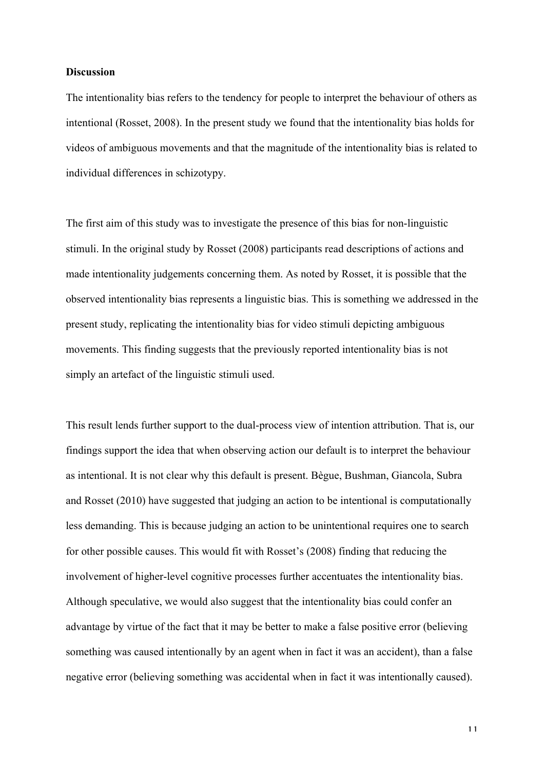#### **Discussion**

The intentionality bias refers to the tendency for people to interpret the behaviour of others as intentional (Rosset, 2008). In the present study we found that the intentionality bias holds for videos of ambiguous movements and that the magnitude of the intentionality bias is related to individual differences in schizotypy.

The first aim of this study was to investigate the presence of this bias for non-linguistic stimuli. In the original study by Rosset (2008) participants read descriptions of actions and made intentionality judgements concerning them. As noted by Rosset, it is possible that the observed intentionality bias represents a linguistic bias. This is something we addressed in the present study, replicating the intentionality bias for video stimuli depicting ambiguous movements. This finding suggests that the previously reported intentionality bias is not simply an artefact of the linguistic stimuli used.

This result lends further support to the dual-process view of intention attribution. That is, our findings support the idea that when observing action our default is to interpret the behaviour as intentional. It is not clear why this default is present. Bègue, Bushman, Giancola, Subra and Rosset (2010) have suggested that judging an action to be intentional is computationally less demanding. This is because judging an action to be unintentional requires one to search for other possible causes. This would fit with Rosset's (2008) finding that reducing the involvement of higher-level cognitive processes further accentuates the intentionality bias. Although speculative, we would also suggest that the intentionality bias could confer an advantage by virtue of the fact that it may be better to make a false positive error (believing something was caused intentionally by an agent when in fact it was an accident), than a false negative error (believing something was accidental when in fact it was intentionally caused).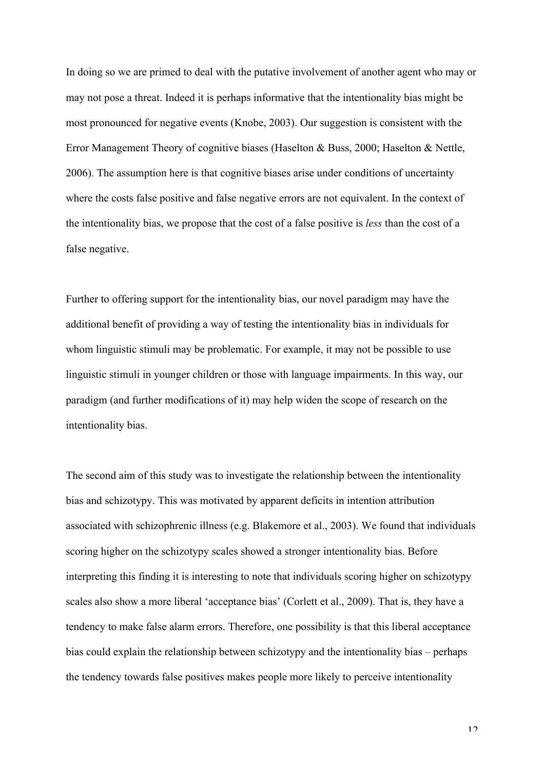In doing so we are primed to deal with the putative involvement of another agent who may or may not pose a threat. Indeed it is perhaps informative that the intentionality bias might be most pronounced for negative events (Knobe, 2003). Our suggestion is consistent with the Error Management Theory of cognitive biases (Haselton & Buss, 2000; Haselton & Nettle, 2006). The assumption here is that cognitive biases arise under conditions of uncertainty where the costs false positive and false negative errors are not equivalent. In the context of the intentionality bias, we propose that the cost of a false positive is *less* than the cost of a false negative.

Further to offering support for the intentionality bias, our novel paradigm may have the additional benefit of providing a way of testing the intentionality bias in individuals for whom linguistic stimuli may be problematic. For example, it may not be possible to use linguistic stimuli in younger children or those with language impairments. In this way, our paradigm (and further modifications of it) may help widen the scope of research on the intentionality bias.

The second aim of this study was to investigate the relationship between the intentionality bias and schizotypy. This was motivated by apparent deficits in intention attribution associated with schizophrenic illness (e.g. Blakemore et al., 2003). We found that individuals scoring higher on the schizotypy scales showed a stronger intentionality bias. Before interpreting this finding it is interesting to note that individuals scoring higher on schizotypy scales also show a more liberal 'acceptance bias' (Corlett et al., 2009). That is, they have a tendency to make false alarm errors. Therefore, one possibility is that this liberal acceptance bias could explain the relationship between schizotypy and the intentionality bias – perhaps the tendency towards false positives makes people more likely to perceive intentionality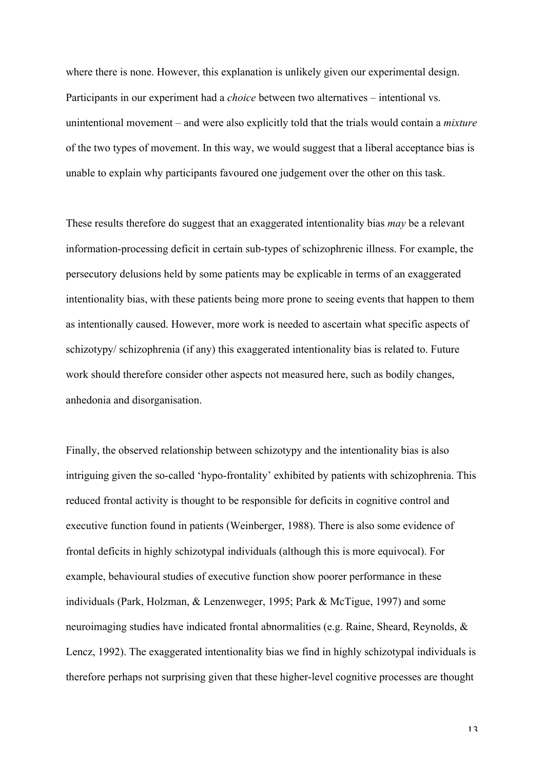where there is none. However, this explanation is unlikely given our experimental design. Participants in our experiment had a *choice* between two alternatives – intentional vs. unintentional movement – and were also explicitly told that the trials would contain a *mixture*  of the two types of movement. In this way, we would suggest that a liberal acceptance bias is unable to explain why participants favoured one judgement over the other on this task.

These results therefore do suggest that an exaggerated intentionality bias *may* be a relevant information-processing deficit in certain sub-types of schizophrenic illness. For example, the persecutory delusions held by some patients may be explicable in terms of an exaggerated intentionality bias, with these patients being more prone to seeing events that happen to them as intentionally caused. However, more work is needed to ascertain what specific aspects of schizotypy/ schizophrenia (if any) this exaggerated intentionality bias is related to. Future work should therefore consider other aspects not measured here, such as bodily changes, anhedonia and disorganisation.

Finally, the observed relationship between schizotypy and the intentionality bias is also intriguing given the so-called 'hypo-frontality' exhibited by patients with schizophrenia. This reduced frontal activity is thought to be responsible for deficits in cognitive control and executive function found in patients (Weinberger, 1988). There is also some evidence of frontal deficits in highly schizotypal individuals (although this is more equivocal). For example, behavioural studies of executive function show poorer performance in these individuals (Park, Holzman, & Lenzenweger, 1995; Park & McTigue, 1997) and some neuroimaging studies have indicated frontal abnormalities (e.g. Raine, Sheard, Reynolds, & Lencz, 1992). The exaggerated intentionality bias we find in highly schizotypal individuals is therefore perhaps not surprising given that these higher-level cognitive processes are thought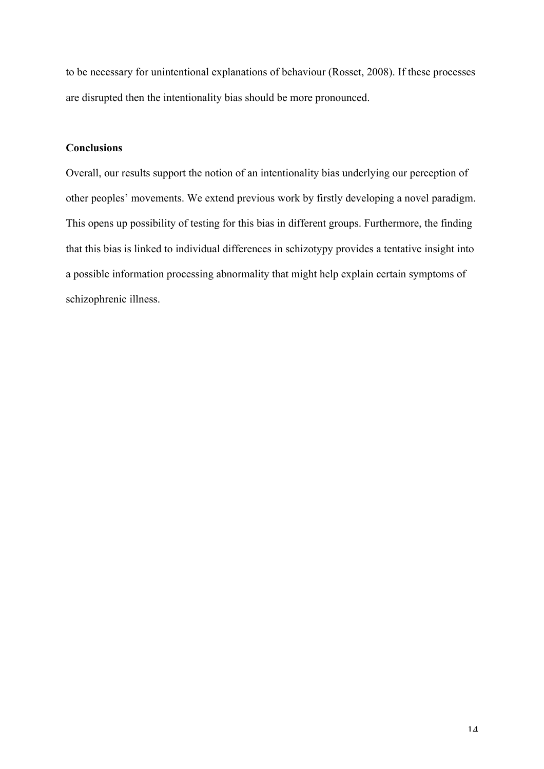to be necessary for unintentional explanations of behaviour (Rosset, 2008). If these processes are disrupted then the intentionality bias should be more pronounced.

# **Conclusions**

Overall, our results support the notion of an intentionality bias underlying our perception of other peoples' movements. We extend previous work by firstly developing a novel paradigm. This opens up possibility of testing for this bias in different groups. Furthermore, the finding that this bias is linked to individual differences in schizotypy provides a tentative insight into a possible information processing abnormality that might help explain certain symptoms of schizophrenic illness.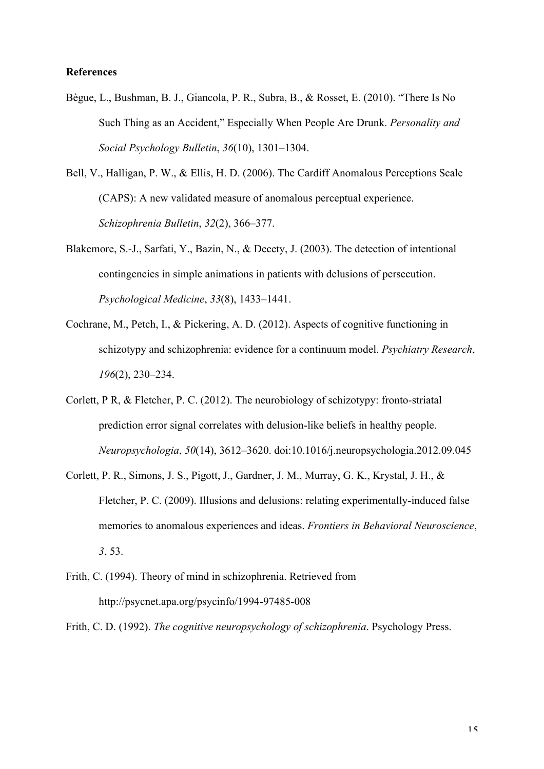#### **References**

Bègue, L., Bushman, B. J., Giancola, P. R., Subra, B., & Rosset, E. (2010). "There Is No Such Thing as an Accident," Especially When People Are Drunk. *Personality and Social Psychology Bulletin*, *36*(10), 1301–1304.

Bell, V., Halligan, P. W., & Ellis, H. D. (2006). The Cardiff Anomalous Perceptions Scale (CAPS): A new validated measure of anomalous perceptual experience. *Schizophrenia Bulletin*, *32*(2), 366–377.

- Blakemore, S.-J., Sarfati, Y., Bazin, N., & Decety, J. (2003). The detection of intentional contingencies in simple animations in patients with delusions of persecution. *Psychological Medicine*, *33*(8), 1433–1441.
- Cochrane, M., Petch, I., & Pickering, A. D. (2012). Aspects of cognitive functioning in schizotypy and schizophrenia: evidence for a continuum model. *Psychiatry Research*, *196*(2), 230–234.
- Corlett, P R, & Fletcher, P. C. (2012). The neurobiology of schizotypy: fronto-striatal prediction error signal correlates with delusion-like beliefs in healthy people. *Neuropsychologia*, *50*(14), 3612–3620. doi:10.1016/j.neuropsychologia.2012.09.045
- Corlett, P. R., Simons, J. S., Pigott, J., Gardner, J. M., Murray, G. K., Krystal, J. H., & Fletcher, P. C. (2009). Illusions and delusions: relating experimentally-induced false memories to anomalous experiences and ideas. *Frontiers in Behavioral Neuroscience*, *3*, 53.
- Frith, C. (1994). Theory of mind in schizophrenia. Retrieved from http://psycnet.apa.org/psycinfo/1994-97485-008

Frith, C. D. (1992). *The cognitive neuropsychology of schizophrenia*. Psychology Press.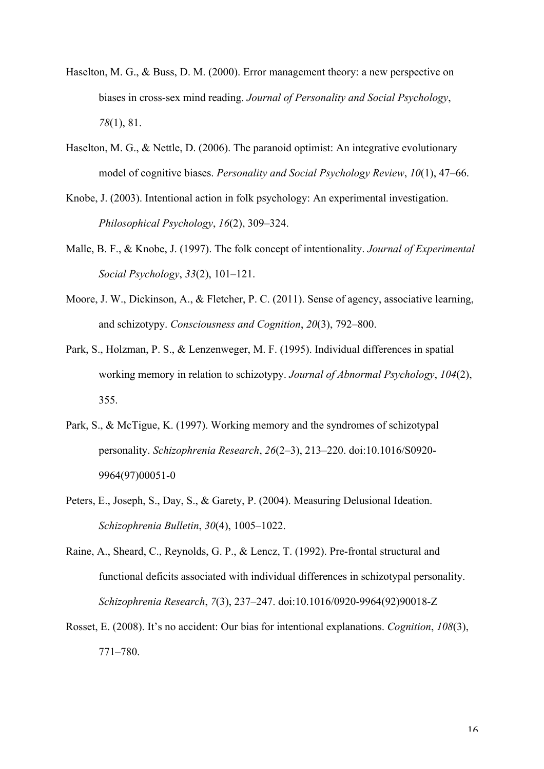- Haselton, M. G., & Buss, D. M. (2000). Error management theory: a new perspective on biases in cross-sex mind reading. *Journal of Personality and Social Psychology*, *78*(1), 81.
- Haselton, M. G., & Nettle, D. (2006). The paranoid optimist: An integrative evolutionary model of cognitive biases. *Personality and Social Psychology Review*, *10*(1), 47–66.
- Knobe, J. (2003). Intentional action in folk psychology: An experimental investigation. *Philosophical Psychology*, *16*(2), 309–324.
- Malle, B. F., & Knobe, J. (1997). The folk concept of intentionality. *Journal of Experimental Social Psychology*, *33*(2), 101–121.
- Moore, J. W., Dickinson, A., & Fletcher, P. C. (2011). Sense of agency, associative learning, and schizotypy. *Consciousness and Cognition*, *20*(3), 792–800.
- Park, S., Holzman, P. S., & Lenzenweger, M. F. (1995). Individual differences in spatial working memory in relation to schizotypy. *Journal of Abnormal Psychology*, *104*(2), 355.
- Park, S., & McTigue, K. (1997). Working memory and the syndromes of schizotypal personality. *Schizophrenia Research*, *26*(2–3), 213–220. doi:10.1016/S0920- 9964(97)00051-0
- Peters, E., Joseph, S., Day, S., & Garety, P. (2004). Measuring Delusional Ideation. *Schizophrenia Bulletin*, *30*(4), 1005–1022.
- Raine, A., Sheard, C., Reynolds, G. P., & Lencz, T. (1992). Pre-frontal structural and functional deficits associated with individual differences in schizotypal personality. *Schizophrenia Research*, *7*(3), 237–247. doi:10.1016/0920-9964(92)90018-Z
- Rosset, E. (2008). It's no accident: Our bias for intentional explanations. *Cognition*, *108*(3), 771–780.